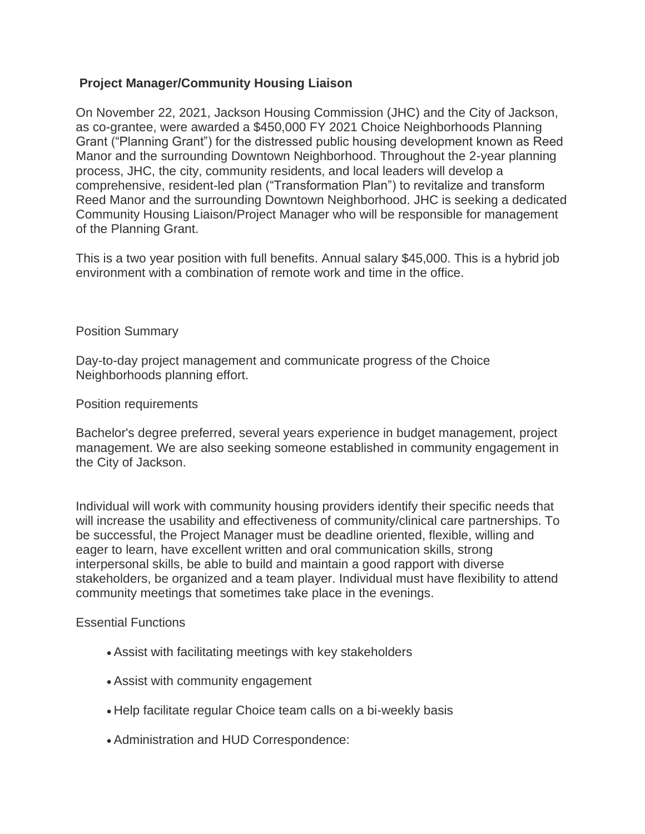## **Project Manager/Community Housing Liaison**

On November 22, 2021, Jackson Housing Commission (JHC) and the City of Jackson, as co-grantee, were awarded a \$450,000 FY 2021 Choice Neighborhoods Planning Grant ("Planning Grant") for the distressed public housing development known as Reed Manor and the surrounding Downtown Neighborhood. Throughout the 2-year planning process, JHC, the city, community residents, and local leaders will develop a comprehensive, resident-led plan ("Transformation Plan") to revitalize and transform Reed Manor and the surrounding Downtown Neighborhood. JHC is seeking a dedicated Community Housing Liaison/Project Manager who will be responsible for management of the Planning Grant.

This is a two year position with full benefits. Annual salary \$45,000. This is a hybrid job environment with a combination of remote work and time in the office.

### Position Summary

Day-to-day project management and communicate progress of the Choice Neighborhoods planning effort.

### Position requirements

Bachelor's degree preferred, several years experience in budget management, project management. We are also seeking someone established in community engagement in the City of Jackson.

Individual will work with community housing providers identify their specific needs that will increase the usability and effectiveness of community/clinical care partnerships. To be successful, the Project Manager must be deadline oriented, flexible, willing and eager to learn, have excellent written and oral communication skills, strong interpersonal skills, be able to build and maintain a good rapport with diverse stakeholders, be organized and a team player. Individual must have flexibility to attend community meetings that sometimes take place in the evenings.

#### Essential Functions

- Assist with facilitating meetings with key stakeholders
- Assist with community engagement
- Help facilitate regular Choice team calls on a bi-weekly basis
- Administration and HUD Correspondence: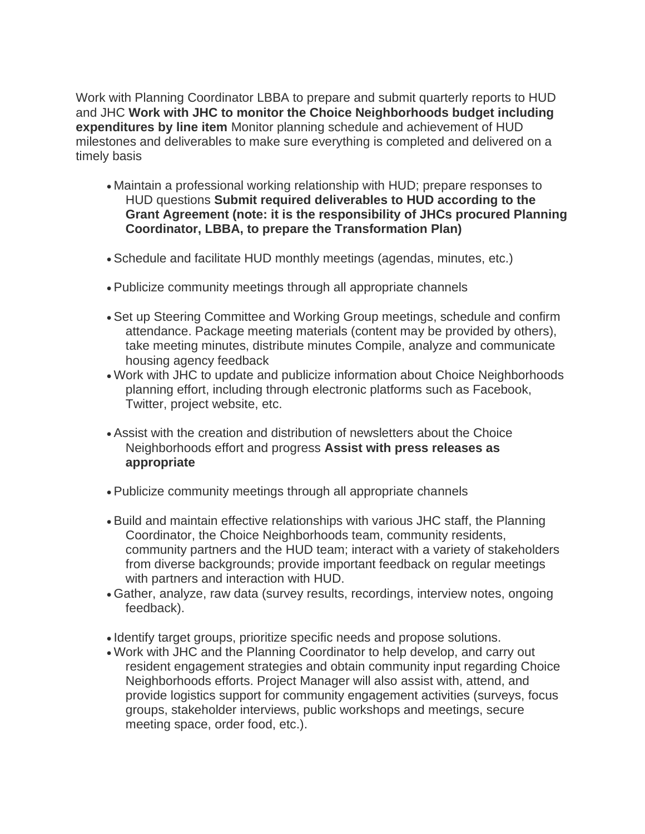Work with Planning Coordinator LBBA to prepare and submit quarterly reports to HUD and JHC **Work with JHC to monitor the Choice Neighborhoods budget including expenditures by line item** Monitor planning schedule and achievement of HUD milestones and deliverables to make sure everything is completed and delivered on a timely basis

- Maintain a professional working relationship with HUD; prepare responses to HUD questions **Submit required deliverables to HUD according to the Grant Agreement (note: it is the responsibility of JHCs procured Planning Coordinator, LBBA, to prepare the Transformation Plan)**
- Schedule and facilitate HUD monthly meetings (agendas, minutes, etc.)
- Publicize community meetings through all appropriate channels
- Set up Steering Committee and Working Group meetings, schedule and confirm attendance. Package meeting materials (content may be provided by others), take meeting minutes, distribute minutes Compile, analyze and communicate housing agency feedback
- Work with JHC to update and publicize information about Choice Neighborhoods planning effort, including through electronic platforms such as Facebook, Twitter, project website, etc.
- Assist with the creation and distribution of newsletters about the Choice Neighborhoods effort and progress **Assist with press releases as appropriate**
- Publicize community meetings through all appropriate channels
- Build and maintain effective relationships with various JHC staff, the Planning Coordinator, the Choice Neighborhoods team, community residents, community partners and the HUD team; interact with a variety of stakeholders from diverse backgrounds; provide important feedback on regular meetings with partners and interaction with HUD.
- Gather, analyze, raw data (survey results, recordings, interview notes, ongoing feedback).
- Identify target groups, prioritize specific needs and propose solutions.
- Work with JHC and the Planning Coordinator to help develop, and carry out resident engagement strategies and obtain community input regarding Choice Neighborhoods efforts. Project Manager will also assist with, attend, and provide logistics support for community engagement activities (surveys, focus groups, stakeholder interviews, public workshops and meetings, secure meeting space, order food, etc.).